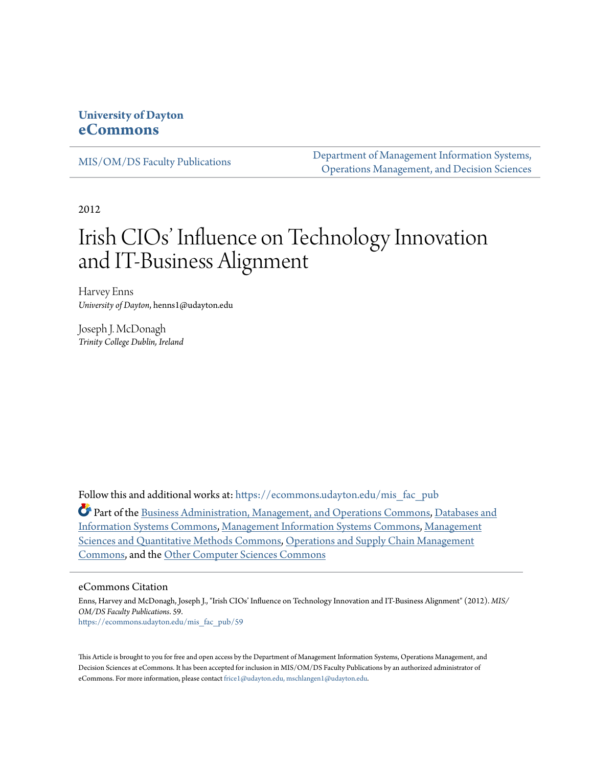# **University of Dayton [eCommons](https://ecommons.udayton.edu?utm_source=ecommons.udayton.edu%2Fmis_fac_pub%2F59&utm_medium=PDF&utm_campaign=PDFCoverPages)**

[MIS/OM/DS Faculty Publications](https://ecommons.udayton.edu/mis_fac_pub?utm_source=ecommons.udayton.edu%2Fmis_fac_pub%2F59&utm_medium=PDF&utm_campaign=PDFCoverPages)

[Department of Management Information Systems,](https://ecommons.udayton.edu/mis?utm_source=ecommons.udayton.edu%2Fmis_fac_pub%2F59&utm_medium=PDF&utm_campaign=PDFCoverPages) [Operations Management, and Decision Sciences](https://ecommons.udayton.edu/mis?utm_source=ecommons.udayton.edu%2Fmis_fac_pub%2F59&utm_medium=PDF&utm_campaign=PDFCoverPages)

2012

# Irish CIOs' Influence on Technology Innovation and IT-Business Alignment

Harvey Enns *University of Dayton*, henns1@udayton.edu

Joseph J. McDonagh *Trinity College Dublin, Ireland*

Follow this and additional works at: [https://ecommons.udayton.edu/mis\\_fac\\_pub](https://ecommons.udayton.edu/mis_fac_pub?utm_source=ecommons.udayton.edu%2Fmis_fac_pub%2F59&utm_medium=PDF&utm_campaign=PDFCoverPages)

Part of the [Business Administration, Management, and Operations Commons](http://network.bepress.com/hgg/discipline/623?utm_source=ecommons.udayton.edu%2Fmis_fac_pub%2F59&utm_medium=PDF&utm_campaign=PDFCoverPages), [Databases and](http://network.bepress.com/hgg/discipline/145?utm_source=ecommons.udayton.edu%2Fmis_fac_pub%2F59&utm_medium=PDF&utm_campaign=PDFCoverPages) [Information Systems Commons](http://network.bepress.com/hgg/discipline/145?utm_source=ecommons.udayton.edu%2Fmis_fac_pub%2F59&utm_medium=PDF&utm_campaign=PDFCoverPages), [Management Information Systems Commons,](http://network.bepress.com/hgg/discipline/636?utm_source=ecommons.udayton.edu%2Fmis_fac_pub%2F59&utm_medium=PDF&utm_campaign=PDFCoverPages) [Management](http://network.bepress.com/hgg/discipline/637?utm_source=ecommons.udayton.edu%2Fmis_fac_pub%2F59&utm_medium=PDF&utm_campaign=PDFCoverPages) [Sciences and Quantitative Methods Commons](http://network.bepress.com/hgg/discipline/637?utm_source=ecommons.udayton.edu%2Fmis_fac_pub%2F59&utm_medium=PDF&utm_campaign=PDFCoverPages), [Operations and Supply Chain Management](http://network.bepress.com/hgg/discipline/1229?utm_source=ecommons.udayton.edu%2Fmis_fac_pub%2F59&utm_medium=PDF&utm_campaign=PDFCoverPages) [Commons,](http://network.bepress.com/hgg/discipline/1229?utm_source=ecommons.udayton.edu%2Fmis_fac_pub%2F59&utm_medium=PDF&utm_campaign=PDFCoverPages) and the [Other Computer Sciences Commons](http://network.bepress.com/hgg/discipline/152?utm_source=ecommons.udayton.edu%2Fmis_fac_pub%2F59&utm_medium=PDF&utm_campaign=PDFCoverPages)

#### eCommons Citation

Enns, Harvey and McDonagh, Joseph J., "Irish CIOs' Influence on Technology Innovation and IT-Business Alignment" (2012). *MIS/ OM/DS Faculty Publications*. 59. [https://ecommons.udayton.edu/mis\\_fac\\_pub/59](https://ecommons.udayton.edu/mis_fac_pub/59?utm_source=ecommons.udayton.edu%2Fmis_fac_pub%2F59&utm_medium=PDF&utm_campaign=PDFCoverPages)

This Article is brought to you for free and open access by the Department of Management Information Systems, Operations Management, and Decision Sciences at eCommons. It has been accepted for inclusion in MIS/OM/DS Faculty Publications by an authorized administrator of eCommons. For more information, please contact [frice1@udayton.edu, mschlangen1@udayton.edu](mailto:frice1@udayton.edu,%20mschlangen1@udayton.edu).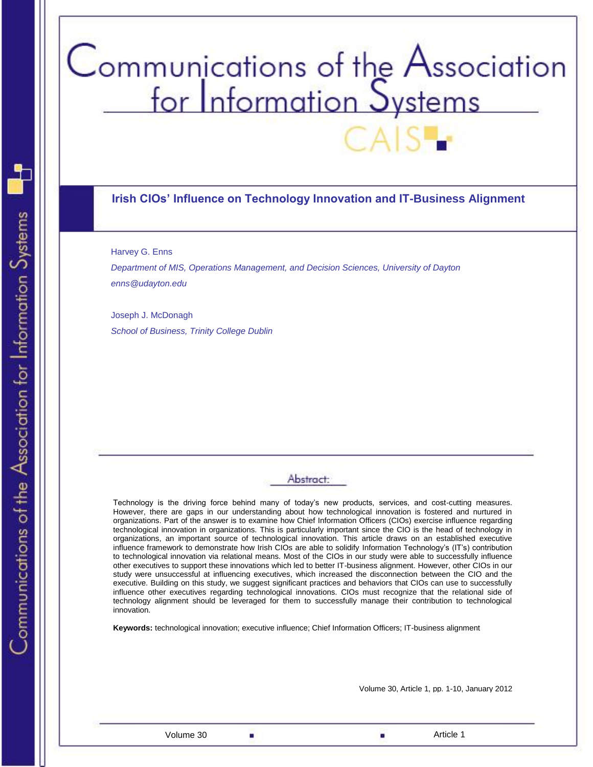# Communications of the Association<br>for Information Systems

#### **Irish CIOs' Influence on Technology Innovation and IT-Business Alignment**

Harvey G. Enns

*Department of MIS, Operations Management, and Decision Sciences, University of Dayton enns@udayton.edu*

Joseph J. McDonagh *School of Business, Trinity College Dublin*

# Abstract:

Technology is the driving force behind many of today's new products, services, and cost-cutting measures. However, there are gaps in our understanding about how technological innovation is fostered and nurtured in organizations. Part of the answer is to examine how Chief Information Officers (CIOs) exercise influence regarding technological innovation in organizations. This is particularly important since the CIO is the head of technology in organizations, an important source of technological innovation. This article draws on an established executive influence framework to demonstrate how Irish CIOs are able to solidify Information Technology's (IT's) contribution to technological innovation via relational means. Most of the CIOs in our study were able to successfully influence other executives to support these innovations which led to better IT-business alignment. However, other CIOs in our study were unsuccessful at influencing executives, which increased the disconnection between the CIO and the executive. Building on this study, we suggest significant practices and behaviors that CIOs can use to successfully influence other executives regarding technological innovations. CIOs must recognize that the relational side of technology alignment should be leveraged for them to successfully manage their contribution to technological innovation.

**Keywords:** technological innovation; executive influence; Chief Information Officers; IT-business alignment

Volume 30  $\Box$ 

Volume 30, Article 1, pp. 1-10, January 2012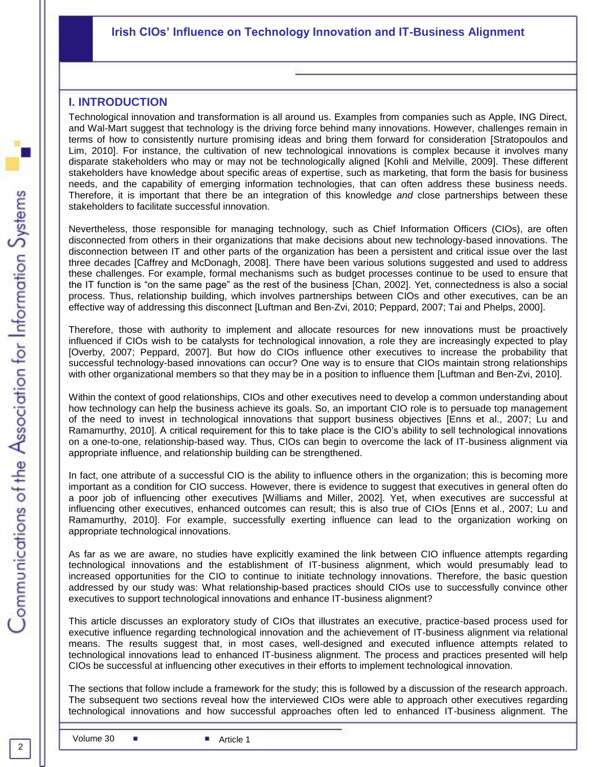# **Irish CIOs' Influence on Technology Innovation and IT-Business Alignment**

#### **I. INTRODUCTION**

Technological innovation and transformation is all around us. Examples from companies such as Apple, ING Direct, and Wal-Mart suggest that technology is the driving force behind many innovations. However, challenges remain in terms of how to consistently nurture promising ideas and bring them forward for consideration [Stratopoulos and Lim, 2010]. For instance, the cultivation of new technological innovations is complex because it involves many disparate stakeholders who may or may not be technologically aligned [Kohli and Melville, 2009]. These different stakeholders have knowledge about specific areas of expertise, such as marketing, that form the basis for business needs, and the capability of emerging information technologies, that can often address these business needs. Therefore, it is important that there be an integration of this knowledge *and* close partnerships between these stakeholders to facilitate successful innovation.

Nevertheless, those responsible for managing technology, such as Chief Information Officers (CIOs), are often disconnected from others in their organizations that make decisions about new technology-based innovations. The disconnection between IT and other parts of the organization has been a persistent and critical issue over the last three decades [Caffrey and McDonagh, 2008]. There have been various solutions suggested and used to address these challenges. For example, formal mechanisms such as budget processes continue to be used to ensure that the IT function is "on the same page" as the rest of the business [Chan, 2002]. Yet, connectedness is also a social process. Thus, relationship building, which involves partnerships between CIOs and other executives, can be an effective way of addressing this disconnect [Luftman and Ben-Zvi, 2010; Peppard, 2007; Tai and Phelps, 2000].

Therefore, those with authority to implement and allocate resources for new innovations must be proactively influenced if CIOs wish to be catalysts for technological innovation, a role they are increasingly expected to play [Overby, 2007; Peppard, 2007]. But how do CIOs influence other executives to increase the probability that successful technology-based innovations can occur? One way is to ensure that CIOs maintain strong relationships with other organizational members so that they may be in a position to influence them [Luftman and Ben-Zvi, 2010].

Within the context of good relationships, CIOs and other executives need to develop a common understanding about how technology can help the business achieve its goals. So, an important CIO role is to persuade top management of the need to invest in technological innovations that support business objectives [Enns et al., 2007; Lu and Ramamurthy, 2010]. A critical requirement for this to take place is the CIO's ability to sell technological innovations on a one-to-one, relationship-based way. Thus, CIOs can begin to overcome the lack of IT-business alignment via appropriate influence, and relationship building can be strengthened.

In fact, one attribute of a successful CIO is the ability to influence others in the organization; this is becoming more important as a condition for CIO success. However, there is evidence to suggest that executives in general often do a poor job of influencing other executives [Williams and Miller, 2002]. Yet, when executives are successful at influencing other executives, enhanced outcomes can result; this is also true of CIOs [Enns et al., 2007; Lu and Ramamurthy, 2010]. For example, successfully exerting influence can lead to the organization working on appropriate technological innovations.

As far as we are aware, no studies have explicitly examined the link between CIO influence attempts regarding technological innovations and the establishment of IT-business alignment, which would presumably lead to increased opportunities for the CIO to continue to initiate technology innovations. Therefore, the basic question addressed by our study was: What relationship-based practices should CIOs use to successfully convince other executives to support technological innovations and enhance IT-business alignment?

**Irish CIOs' Influence on Technology Innovation and IT-Business Alignment** technological innovations lead to enhanced IT-business alignment. The process and practices presented will help This article discusses an exploratory study of CIOs that illustrates an executive, practice-based process used for executive influence regarding technological innovation and the achievement of IT-business alignment via relational means. The results suggest that, in most cases, well-designed and executed influence attempts related to CIOs be successful at influencing other executives in their efforts to implement technological innovation.

The sections that follow include a framework for the study; this is followed by a discussion of the research approach. The subsequent two sections reveal how the interviewed CIOs were able to approach other executives regarding technological innovations and how successful approaches often led to enhanced IT-business alignment. The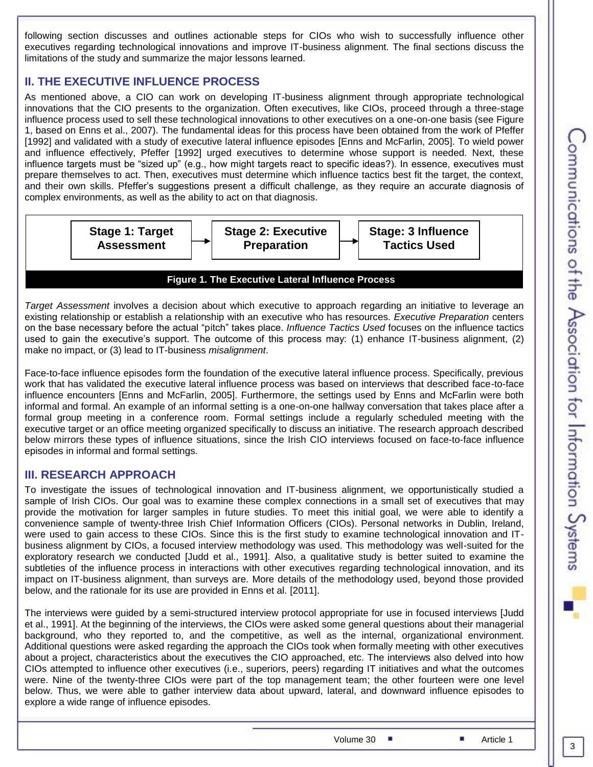following section discusses and outlines actionable steps for CIOs who wish to successfully influence other executives regarding technological innovations and improve IT-business alignment. The final sections discuss the limitations of the study and summarize the major lessons learned.

# **II. THE EXECUTIVE INFLUENCE PROCESS**

As mentioned above, a CIO can work on developing IT-business alignment through appropriate technological innovations that the CIO presents to the organization. Often executives, like CIOs, proceed through a three-stage influence process used to sell these technological innovations to other executives on a one-on-one basis (see Figure 1, based on Enns et al., 2007). The fundamental ideas for this process have been obtained from the work of Pfeffer [1992] and validated with a study of executive lateral influence episodes [Enns and McFarlin, 2005]. To wield power and influence effectively, Pfeffer [1992] urged executives to determine whose support is needed. Next, these influence targets must be "sized up" (e.g., how might targets react to specific ideas?). In essence, executives must prepare themselves to act. Then, executives must determine which influence tactics best fit the target, the context, and their own skills. Pfeffer's suggestions present a difficult challenge, as they require an accurate diagnosis of complex environments, as well as the ability to act on that diagnosis.



#### **Figure 1. The Executive Lateral Influence Process**

*Target Assessment* involves a decision about which executive to approach regarding an initiative to leverage an existing relationship or establish a relationship with an executive who has resources. *Executive Preparation* centers on the base necessary before the actual "pitch" takes place. *Influence Tactics Used* focuses on the influence tactics used to gain the executive's support. The outcome of this process may: (1) enhance IT-business alignment, (2) make no impact, or (3) lead to IT-business *misalignment*.

Face-to-face influence episodes form the foundation of the executive lateral influence process. Specifically, previous work that has validated the executive lateral influence process was based on interviews that described face-to-face influence encounters [Enns and McFarlin, 2005]. Furthermore, the settings used by Enns and McFarlin were both informal and formal. An example of an informal setting is a one-on-one hallway conversation that takes place after a formal group meeting in a conference room. Formal settings include a regularly scheduled meeting with the executive target or an office meeting organized specifically to discuss an initiative. The research approach described below mirrors these types of influence situations, since the Irish CIO interviews focused on face-to-face influence episodes in informal and formal settings.

# **III. RESEARCH APPROACH**

To investigate the issues of technological innovation and IT-business alignment, we opportunistically studied a sample of Irish CIOs. Our goal was to examine these complex connections in a small set of executives that may provide the motivation for larger samples in future studies. To meet this initial goal, we were able to identify a convenience sample of twenty-three Irish Chief Information Officers (CIOs). Personal networks in Dublin, Ireland, were used to gain access to these CIOs. Since this is the first study to examine technological innovation and ITbusiness alignment by CIOs, a focused interview methodology was used. This methodology was well-suited for the exploratory research we conducted [Judd et al., 1991]. Also, a qualitative study is better suited to examine the subtleties of the influence process in interactions with other executives regarding technological innovation, and its impact on IT-business alignment, than surveys are. More details of the methodology used, beyond those provided below, and the rationale for its use are provided in Enns et al. [2011].

The interviews were guided by a semi-structured interview protocol appropriate for use in focused interviews [Judd et al., 1991]. At the beginning of the interviews, the CIOs were asked some general questions about their managerial background, who they reported to, and the competitive, as well as the internal, organizational environment. Additional questions were asked regarding the approach the CIOs took when formally meeting with other executives about a project, characteristics about the executives the CIO approached, etc. The interviews also delved into how CIOs attempted to influence other executives (i.e., superiors, peers) regarding IT initiatives and what the outcomes were. Nine of the twenty-three CIOs were part of the top management team; the other fourteen were one level below. Thus, we were able to gather interview data about upward, lateral, and downward influence episodes to explore a wide range of influence episodes.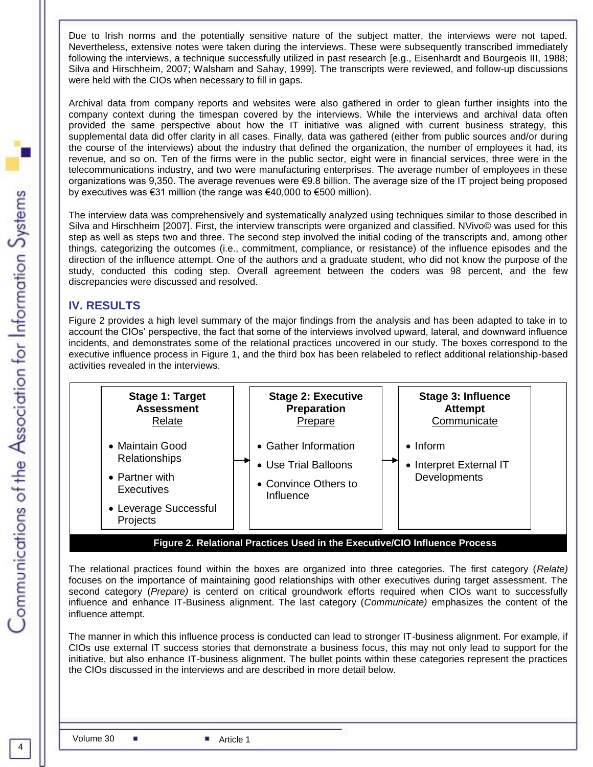Due to Irish norms and the potentially sensitive nature of the subject matter, the interviews were not taped. Nevertheless, extensive notes were taken during the interviews. These were subsequently transcribed immediately following the interviews, a technique successfully utilized in past research [e.g., Eisenhardt and Bourgeois III, 1988; Silva and Hirschheim, 2007; Walsham and Sahay, 1999]. The transcripts were reviewed, and follow-up discussions were held with the CIOs when necessary to fill in gaps.

Archival data from company reports and websites were also gathered in order to glean further insights into the company context during the timespan covered by the interviews. While the interviews and archival data often provided the same perspective about how the IT initiative was aligned with current business strategy, this supplemental data did offer clarity in all cases. Finally, data was gathered (either from public sources and/or during the course of the interviews) about the industry that defined the organization, the number of employees it had, its revenue, and so on. Ten of the firms were in the public sector, eight were in financial services, three were in the telecommunications industry, and two were manufacturing enterprises. The average number of employees in these organizations was 9,350. The average revenues were €9.8 billion. The average size of the IT project being proposed by executives was €31 million (the range was €40,000 to €500 million).

The interview data was comprehensively and systematically analyzed using techniques similar to those described in Silva and Hirschheim [2007]. First, the interview transcripts were organized and classified. NVivo© was used for this step as well as steps two and three. The second step involved the initial coding of the transcripts and, among other things, categorizing the outcomes (i.e., commitment, compliance, or resistance) of the influence episodes and the direction of the influence attempt. One of the authors and a graduate student, who did not know the purpose of the study, conducted this coding step. Overall agreement between the coders was 98 percent, and the few discrepancies were discussed and resolved.

# **IV. RESULTS**

Figure 2 provides a high level summary of the major findings from the analysis and has been adapted to take in to account the CIOs' perspective, the fact that some of the interviews involved upward, lateral, and downward influence incidents, and demonstrates some of the relational practices uncovered in our study. The boxes correspond to the executive influence process in Figure 1, and the third box has been relabeled to reflect additional relationship-based activities revealed in the interviews.



The relational practices found within the boxes are organized into three categories. The first category (*Relate)* focuses on the importance of maintaining good relationships with other executives during target assessment. The second category (*Prepare)* is centerd on critical groundwork efforts required when CIOs want to successfully influence and enhance IT-Business alignment. The last category (*Communicate)* emphasizes the content of the influence attempt.

The manner in which this influence process is conducted can lead to stronger IT-business alignment. For example, if CIOs use external IT success stories that demonstrate a business focus, this may not only lead to support for the initiative, but also enhance IT-business alignment. The bullet points within these categories represent the practices the CIOs discussed in the interviews and are described in more detail below.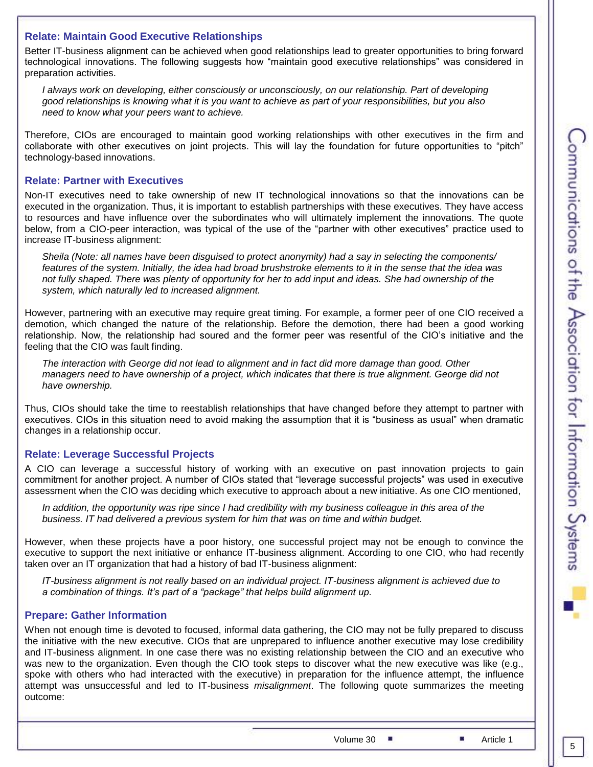#### **Relate: Maintain Good Executive Relationships**

Better IT-business alignment can be achieved when good relationships lead to greater opportunities to bring forward technological innovations. The following suggests how "maintain good executive relationships" was considered in preparation activities.

*I always work on developing, either consciously or unconsciously, on our relationship. Part of developing good relationships is knowing what it is you want to achieve as part of your responsibilities, but you also need to know what your peers want to achieve.*

Therefore, CIOs are encouraged to maintain good working relationships with other executives in the firm and collaborate with other executives on joint projects. This will lay the foundation for future opportunities to "pitch" technology-based innovations.

#### **Relate: Partner with Executives**

Non-IT executives need to take ownership of new IT technological innovations so that the innovations can be executed in the organization. Thus, it is important to establish partnerships with these executives. They have access to resources and have influence over the subordinates who will ultimately implement the innovations. The quote below, from a CIO-peer interaction, was typical of the use of the "partner with other executives" practice used to increase IT-business alignment:

*Sheila (Note: all names have been disguised to protect anonymity) had a say in selecting the components/ features of the system. Initially, the idea had broad brushstroke elements to it in the sense that the idea was not fully shaped. There was plenty of opportunity for her to add input and ideas. She had ownership of the system, which naturally led to increased alignment.*

However, partnering with an executive may require great timing. For example, a former peer of one CIO received a demotion, which changed the nature of the relationship. Before the demotion, there had been a good working relationship. Now, the relationship had soured and the former peer was resentful of the CIO's initiative and the feeling that the CIO was fault finding.

*The interaction with George did not lead to alignment and in fact did more damage than good. Other managers need to have ownership of a project, which indicates that there is true alignment. George did not have ownership.*

Thus, CIOs should take the time to reestablish relationships that have changed before they attempt to partner with executives. CIOs in this situation need to avoid making the assumption that it is "business as usual" when dramatic changes in a relationship occur.

#### **Relate: Leverage Successful Projects**

A CIO can leverage a successful history of working with an executive on past innovation projects to gain commitment for another project. A number of CIOs stated that "leverage successful projects" was used in executive assessment when the CIO was deciding which executive to approach about a new initiative. As one CIO mentioned,

*In addition, the opportunity was ripe since I had credibility with my business colleague in this area of the business. IT had delivered a previous system for him that was on time and within budget.*

However, when these projects have a poor history, one successful project may not be enough to convince the executive to support the next initiative or enhance IT-business alignment. According to one CIO, who had recently taken over an IT organization that had a history of bad IT-business alignment:

*IT-business alignment is not really based on an individual project. IT-business alignment is achieved due to a combination of things. It's part of a "package" that helps build alignment up.*

#### **Prepare: Gather Information**

When not enough time is devoted to focused, informal data gathering, the CIO may not be fully prepared to discuss the initiative with the new executive. CIOs that are unprepared to influence another executive may lose credibility and IT-business alignment. In one case there was no existing relationship between the CIO and an executive who was new to the organization. Even though the CIO took steps to discover what the new executive was like (e.g., spoke with others who had interacted with the executive) in preparation for the influence attempt, the influence attempt was unsuccessful and led to IT-business *misalignment*. The following quote summarizes the meeting outcome:

Volume 30  $\blacksquare$  Article 1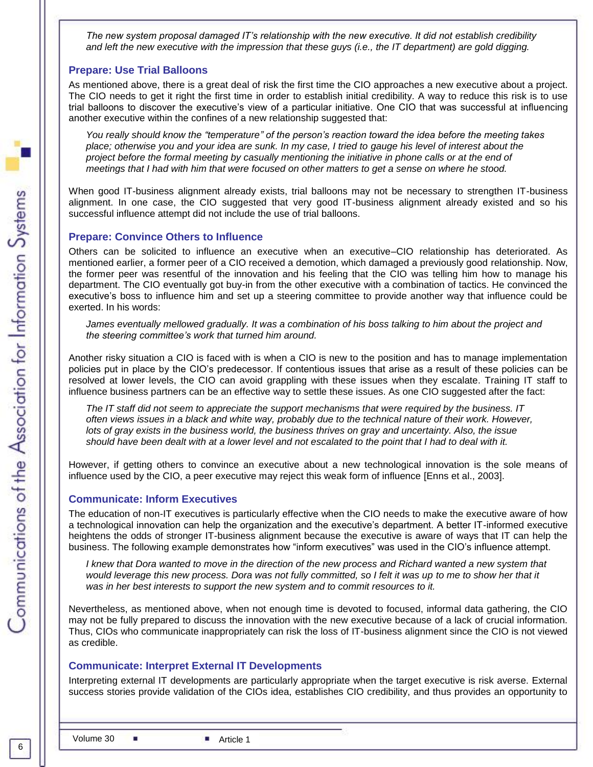*The new system proposal damaged IT's relationship with the new executive. It did not establish credibility and left the new executive with the impression that these guys (i.e., the IT department) are gold digging.*

#### **Prepare: Use Trial Balloons**

As mentioned above, there is a great deal of risk the first time the CIO approaches a new executive about a project. The CIO needs to get it right the first time in order to establish initial credibility. A way to reduce this risk is to use trial balloons to discover the executive's view of a particular initiative. One CIO that was successful at influencing another executive within the confines of a new relationship suggested that:

*You really should know the "temperature" of the person's reaction toward the idea before the meeting takes place; otherwise you and your idea are sunk. In my case, I tried to gauge his level of interest about the project before the formal meeting by casually mentioning the initiative in phone calls or at the end of meetings that I had with him that were focused on other matters to get a sense on where he stood.*

When good IT-business alignment already exists, trial balloons may not be necessary to strengthen IT-business alignment. In one case, the CIO suggested that very good IT-business alignment already existed and so his successful influence attempt did not include the use of trial balloons.

#### **Prepare: Convince Others to Influence**

Others can be solicited to influence an executive when an executive–CIO relationship has deteriorated. As mentioned earlier, a former peer of a CIO received a demotion, which damaged a previously good relationship. Now, the former peer was resentful of the innovation and his feeling that the CIO was telling him how to manage his department. The CIO eventually got buy-in from the other executive with a combination of tactics. He convinced the executive's boss to influence him and set up a steering committee to provide another way that influence could be exerted. In his words:

*James eventually mellowed gradually. It was a combination of his boss talking to him about the project and the steering committee's work that turned him around.*

Another risky situation a CIO is faced with is when a CIO is new to the position and has to manage implementation policies put in place by the CIO's predecessor. If contentious issues that arise as a result of these policies can be resolved at lower levels, the CIO can avoid grappling with these issues when they escalate. Training IT staff to influence business partners can be an effective way to settle these issues. As one CIO suggested after the fact:

*The IT staff did not seem to appreciate the support mechanisms that were required by the business. IT often views issues in a black and white way, probably due to the technical nature of their work. However, lots of gray exists in the business world, the business thrives on gray and uncertainty. Also, the issue should have been dealt with at a lower level and not escalated to the point that I had to deal with it.*

However, if getting others to convince an executive about a new technological innovation is the sole means of influence used by the CIO, a peer executive may reject this weak form of influence [Enns et al., 2003].

#### **Communicate: Inform Executives**

The education of non-IT executives is particularly effective when the CIO needs to make the executive aware of how a technological innovation can help the organization and the executive's department. A better IT-informed executive heightens the odds of stronger IT-business alignment because the executive is aware of ways that IT can help the business. The following example demonstrates how "inform executives" was used in the CIO's influence attempt.

*I* knew that Dora wanted to move in the direction of the new process and Richard wanted a new system that would leverage this new process. Dora was not fully committed, so I felt it was up to me to show her that it *was in her best interests to support the new system and to commit resources to it.*

Nevertheless, as mentioned above, when not enough time is devoted to focused, informal data gathering, the CIO may not be fully prepared to discuss the innovation with the new executive because of a lack of crucial information. Thus, CIOs who communicate inappropriately can risk the loss of IT-business alignment since the CIO is not viewed as credible.

#### **Communicate: Interpret External IT Developments**

Interpreting external IT developments are particularly appropriate when the target executive is risk averse. External success stories provide validation of the CIOs idea, establishes CIO credibility, and thus provides an opportunity to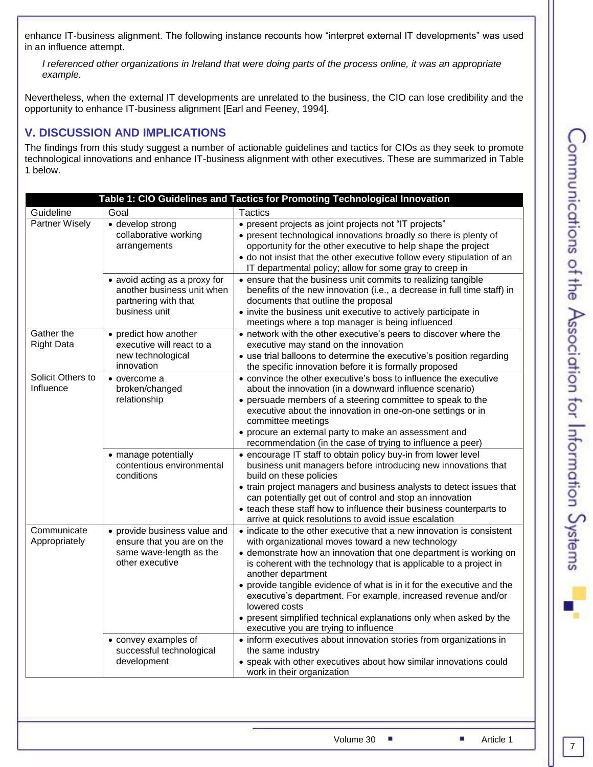enhance IT-business alignment. The following instance recounts how "interpret external IT developments" was used in an influence attempt.

*I referenced other organizations in Ireland that were doing parts of the process online, it was an appropriate example.*

Nevertheless, when the external IT developments are unrelated to the business, the CIO can lose credibility and the opportunity to enhance IT-business alignment [Earl and Feeney, 1994].

# **V. DISCUSSION AND IMPLICATIONS**

The findings from this study suggest a number of actionable guidelines and tactics for CIOs as they seek to promote technological innovations and enhance IT-business alignment with other executives. These are summarized in Table 1 below.

|                                                                | Table 1: CIO Guidelines and Tactics for Promoting Technological Innovation                               |                                                                                                                                                                                                                                                                                                                                                                                                                                                                                                                                                                        |  |  |  |  |  |  |  |  |
|----------------------------------------------------------------|----------------------------------------------------------------------------------------------------------|------------------------------------------------------------------------------------------------------------------------------------------------------------------------------------------------------------------------------------------------------------------------------------------------------------------------------------------------------------------------------------------------------------------------------------------------------------------------------------------------------------------------------------------------------------------------|--|--|--|--|--|--|--|--|
| Guideline                                                      | Goal                                                                                                     | <b>Tactics</b>                                                                                                                                                                                                                                                                                                                                                                                                                                                                                                                                                         |  |  |  |  |  |  |  |  |
| <b>Partner Wisely</b>                                          | · develop strong<br>collaborative working<br>arrangements                                                | • present projects as joint projects not "IT projects"<br>• present technological innovations broadly so there is plenty of<br>opportunity for the other executive to help shape the project<br>• do not insist that the other executive follow every stipulation of an<br>IT departmental policy; allow for some gray to creep in                                                                                                                                                                                                                                     |  |  |  |  |  |  |  |  |
|                                                                | • avoid acting as a proxy for<br>another business unit when<br>partnering with that<br>business unit     | • ensure that the business unit commits to realizing tangible<br>benefits of the new innovation (i.e., a decrease in full time staff) in<br>documents that outline the proposal<br>• invite the business unit executive to actively participate in<br>meetings where a top manager is being influenced                                                                                                                                                                                                                                                                 |  |  |  |  |  |  |  |  |
| Gather the<br><b>Right Data</b>                                | • predict how another<br>executive will react to a<br>new technological<br>innovation                    | • network with the other executive's peers to discover where the<br>executive may stand on the innovation<br>• use trial balloons to determine the executive's position regarding<br>the specific innovation before it is formally proposed                                                                                                                                                                                                                                                                                                                            |  |  |  |  |  |  |  |  |
| Solicit Others to<br>Influence<br>Communicate<br>Appropriately | • overcome a<br>broken/changed<br>relationship                                                           | • convince the other executive's boss to influence the executive<br>about the innovation (in a downward influence scenario)<br>• persuade members of a steering committee to speak to the<br>executive about the innovation in one-on-one settings or in<br>committee meetings<br>• procure an external party to make an assessment and<br>recommendation (in the case of trying to influence a peer)                                                                                                                                                                  |  |  |  |  |  |  |  |  |
|                                                                | • manage potentially<br>contentious environmental<br>conditions                                          | • encourage IT staff to obtain policy buy-in from lower level<br>business unit managers before introducing new innovations that<br>build on these policies<br>• train project managers and business analysts to detect issues that<br>can potentially get out of control and stop an innovation<br>• teach these staff how to influence their business counterparts to<br>arrive at quick resolutions to avoid issue escalation                                                                                                                                        |  |  |  |  |  |  |  |  |
|                                                                | • provide business value and<br>ensure that you are on the<br>same wave-length as the<br>other executive | • indicate to the other executive that a new innovation is consistent<br>with organizational moves toward a new technology<br>• demonstrate how an innovation that one department is working on<br>is coherent with the technology that is applicable to a project in<br>another department<br>• provide tangible evidence of what is in it for the executive and the<br>executive's department. For example, increased revenue and/or<br>lowered costs<br>• present simplified technical explanations only when asked by the<br>executive you are trying to influence |  |  |  |  |  |  |  |  |
|                                                                | • convey examples of<br>successful technological<br>development                                          | • inform executives about innovation stories from organizations in<br>the same industry<br>• speak with other executives about how similar innovations could<br>work in their organization                                                                                                                                                                                                                                                                                                                                                                             |  |  |  |  |  |  |  |  |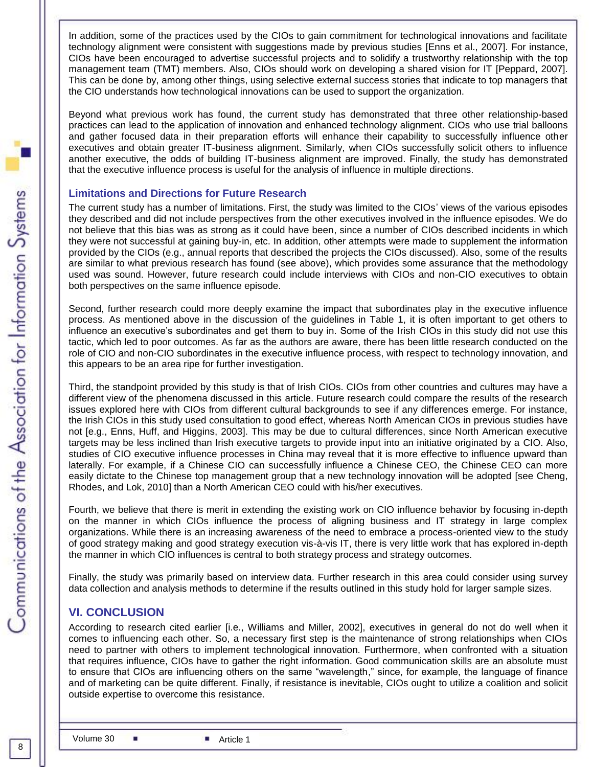In addition, some of the practices used by the CIOs to gain commitment for technological innovations and facilitate technology alignment were consistent with suggestions made by previous studies [Enns et al., 2007]. For instance, CIOs have been encouraged to advertise successful projects and to solidify a trustworthy relationship with the top management team (TMT) members. Also, CIOs should work on developing a shared vision for IT [Peppard, 2007]. This can be done by, among other things, using selective external success stories that indicate to top managers that the CIO understands how technological innovations can be used to support the organization.

Beyond what previous work has found, the current study has demonstrated that three other relationship-based practices can lead to the application of innovation and enhanced technology alignment. CIOs who use trial balloons and gather focused data in their preparation efforts will enhance their capability to successfully influence other executives and obtain greater IT-business alignment. Similarly, when CIOs successfully solicit others to influence another executive, the odds of building IT-business alignment are improved. Finally, the study has demonstrated that the executive influence process is useful for the analysis of influence in multiple directions.

#### **Limitations and Directions for Future Research**

The current study has a number of limitations. First, the study was limited to the CIOs' views of the various episodes they described and did not include perspectives from the other executives involved in the influence episodes. We do not believe that this bias was as strong as it could have been, since a number of CIOs described incidents in which they were not successful at gaining buy-in, etc. In addition, other attempts were made to supplement the information provided by the CIOs (e.g., annual reports that described the projects the CIOs discussed). Also, some of the results are similar to what previous research has found (see above), which provides some assurance that the methodology used was sound. However, future research could include interviews with CIOs and non-CIO executives to obtain both perspectives on the same influence episode.

Second, further research could more deeply examine the impact that subordinates play in the executive influence process. As mentioned above in the discussion of the guidelines in Table 1, it is often important to get others to influence an executive's subordinates and get them to buy in. Some of the Irish CIOs in this study did not use this tactic, which led to poor outcomes. As far as the authors are aware, there has been little research conducted on the role of CIO and non-CIO subordinates in the executive influence process, with respect to technology innovation, and this appears to be an area ripe for further investigation.

Third, the standpoint provided by this study is that of Irish CIOs. CIOs from other countries and cultures may have a different view of the phenomena discussed in this article. Future research could compare the results of the research issues explored here with CIOs from different cultural backgrounds to see if any differences emerge. For instance, the Irish CIOs in this study used consultation to good effect, whereas North American CIOs in previous studies have not [e.g., Enns, Huff, and Higgins, 2003]. This may be due to cultural differences, since North American executive targets may be less inclined than Irish executive targets to provide input into an initiative originated by a CIO. Also, studies of CIO executive influence processes in China may reveal that it is more effective to influence upward than laterally. For example, if a Chinese CIO can successfully influence a Chinese CEO, the Chinese CEO can more easily dictate to the Chinese top management group that a new technology innovation will be adopted [see Cheng, Rhodes, and Lok, 2010] than a North American CEO could with his/her executives.

Fourth, we believe that there is merit in extending the existing work on CIO influence behavior by focusing in-depth on the manner in which CIOs influence the process of aligning business and IT strategy in large complex organizations. While there is an increasing awareness of the need to embrace a process-oriented view to the study of good strategy making and good strategy execution vis-à-vis IT, there is very little work that has explored in-depth the manner in which CIO influences is central to both strategy process and strategy outcomes.

Finally, the study was primarily based on interview data. Further research in this area could consider using survey data collection and analysis methods to determine if the results outlined in this study hold for larger sample sizes.

# **VI. CONCLUSION**

According to research cited earlier [i.e., Williams and Miller, 2002], executives in general do not do well when it comes to influencing each other. So, a necessary first step is the maintenance of strong relationships when CIOs need to partner with others to implement technological innovation. Furthermore, when confronted with a situation that requires influence, CIOs have to gather the right information. Good communication skills are an absolute must to ensure that CIOs are influencing others on the same "wavelength," since, for example, the language of finance and of marketing can be quite different. Finally, if resistance is inevitable, CIOs ought to utilize a coalition and solicit outside expertise to overcome this resistance.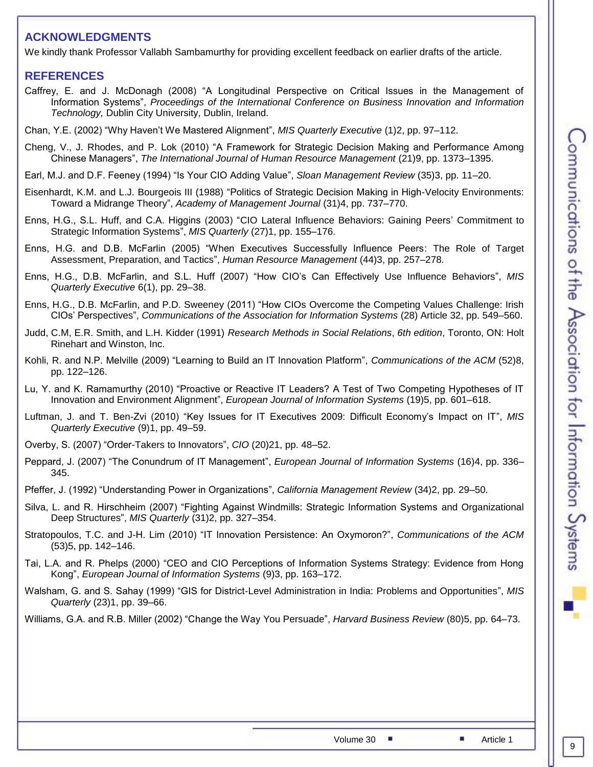# **ACKNOWLEDGMENTS**

We kindly thank Professor Vallabh Sambamurthy for providing excellent feedback on earlier drafts of the article.

#### **REFERENCES**

- Caffrey, E. and J. McDonagh (2008) "A Longitudinal Perspective on Critical Issues in the Management of Information Systems", *Proceedings of the International Conference on Business Innovation and Information Technology,* Dublin City University, Dublin, Ireland.
- Chan, Y.E. (2002) "Why Haven't We Mastered Alignment", *MIS Quarterly Executive* (1)2, pp. 97–112.
- Cheng, V., J. Rhodes, and P. Lok (2010) "A Framework for Strategic Decision Making and Performance Among Chinese Managers", *The International Journal of Human Resource Management* (21)9, pp. 1373–1395.
- Earl, M.J. and D.F. Feeney (1994) "Is Your CIO Adding Value", *Sloan Management Review* (35)3, pp. 11–20.
- Eisenhardt, K.M. and L.J. Bourgeois III (1988) "Politics of Strategic Decision Making in High-Velocity Environments: Toward a Midrange Theory", *Academy of Management Journal* (31)4, pp. 737–770.
- Enns, H.G., S.L. Huff, and C.A. Higgins (2003) "CIO Lateral Influence Behaviors: Gaining Peers' Commitment to Strategic Information Systems", *MIS Quarterly* (27)1, pp. 155–176.
- Enns, H.G. and D.B. McFarlin (2005) "When Executives Successfully Influence Peers: The Role of Target Assessment, Preparation, and Tactics", *Human Resource Management* (44)3, pp. 257–278.
- Enns, H.G., D.B. McFarlin, and S.L. Huff (2007) "How CIO's Can Effectively Use Influence Behaviors", *MIS Quarterly Executive* 6(1), pp. 29–38.
- Enns, H.G., D.B. McFarlin, and P.D. Sweeney (2011) "How CIOs Overcome the Competing Values Challenge: Irish CIOs' Perspectives", *Communications of the Association for Information Systems* (28) Article 32, pp. 549–560.
- Judd, C.M, E.R. Smith, and L.H. Kidder (1991) *Research Methods in Social Relations*, *6th edition*, Toronto, ON: Holt Rinehart and Winston, Inc.
- Kohli, R. and N.P. Melville (2009) "Learning to Build an IT Innovation Platform", *Communications of the ACM* (52)8, pp. 122–126.
- Lu, Y. and K. Ramamurthy (2010) "Proactive or Reactive IT Leaders? A Test of Two Competing Hypotheses of IT Innovation and Environment Alignment", *European Journal of Information Systems* (19)5, pp. 601–618.
- Luftman, J. and T. Ben-Zvi (2010) "Key Issues for IT Executives 2009: Difficult Economy's Impact on IT", *MIS Quarterly Executive* (9)1, pp. 49–59.
- Overby, S. (2007) "Order-Takers to Innovators", *CIO* (20)21, pp. 48–52.
- Peppard, J. (2007) "The Conundrum of IT Management", *European Journal of Information Systems* (16)4, pp. 336– 345.
- Pfeffer, J. (1992) "Understanding Power in Organizations", *California Management Review* (34)2, pp. 29–50.
- Silva, L. and R. Hirschheim (2007) "Fighting Against Windmills: Strategic Information Systems and Organizational Deep Structures", *MIS Quarterly* (31)2, pp. 327–354.
- Stratopoulos, T.C. and J-H. Lim (2010) "IT Innovation Persistence: An Oxymoron?", *Communications of the ACM* (53)5, pp. 142–146.
- Tai, L.A. and R. Phelps (2000) "CEO and CIO Perceptions of Information Systems Strategy: Evidence from Hong Kong", *European Journal of Information Systems* (9)3, pp. 163–172.
- Walsham, G. and S. Sahay (1999) "GIS for District-Level Administration in India: Problems and Opportunities", *MIS Quarterly* (23)1, pp. 39–66.
- Williams, G.A. and R.B. Miller (2002) "Change the Way You Persuade", *Harvard Business Review* (80)5, pp. 64–73.

9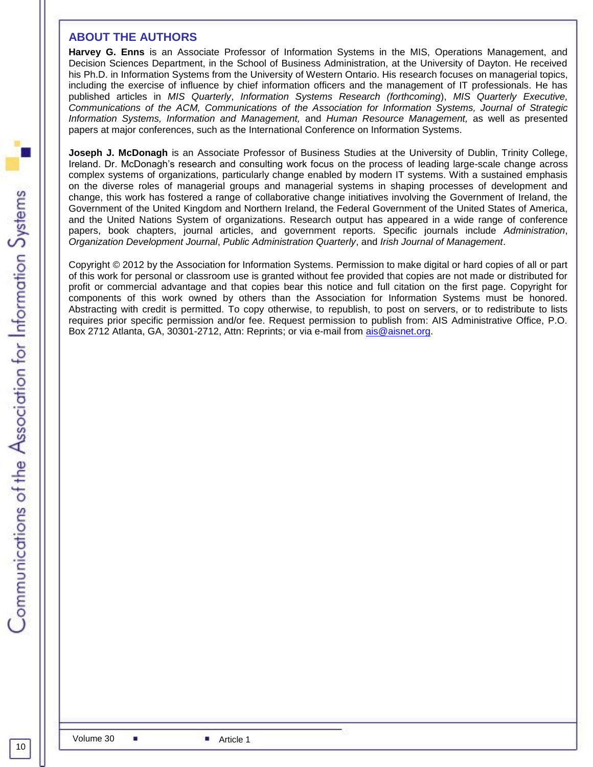#### **ABOUT THE AUTHORS**

**Harvey G. Enns** is an Associate Professor of Information Systems in the MIS, Operations Management, and Decision Sciences Department, in the School of Business Administration, at the University of Dayton. He received his Ph.D. in Information Systems from the University of Western Ontario. His research focuses on managerial topics, including the exercise of influence by chief information officers and the management of IT professionals. He has published articles in *MIS Quarterly*, *Information Systems Research (forthcoming*), *MIS Quarterly Executive, Communications of the ACM, Communications of the Association for Information Systems, Journal of Strategic Information Systems, Information and Management,* and *Human Resource Management,* as well as presented papers at major conferences, such as the International Conference on Information Systems.

**Joseph J. McDonagh** is an Associate Professor of Business Studies at the University of Dublin, Trinity College, Ireland. Dr. McDonagh's research and consulting work focus on the process of leading large-scale change across complex systems of organizations, particularly change enabled by modern IT systems. With a sustained emphasis on the diverse roles of managerial groups and managerial systems in shaping processes of development and change, this work has fostered a range of collaborative change initiatives involving the Government of Ireland, the Government of the United Kingdom and Northern Ireland, the Federal Government of the United States of America, and the United Nations System of organizations. Research output has appeared in a wide range of conference papers, book chapters, journal articles, and government reports. Specific journals include *Administration*, *Organization Development Journal*, *Public Administration Quarterly*, and *Irish Journal of Management*.

Copyright © 2012 by the Association for Information Systems. Permission to make digital or hard copies of all or part of this work for personal or classroom use is granted without fee provided that copies are not made or distributed for profit or commercial advantage and that copies bear this notice and full citation on the first page. Copyright for components of this work owned by others than the Association for Information Systems must be honored. Abstracting with credit is permitted. To copy otherwise, to republish, to post on servers, or to redistribute to lists requires prior specific permission and/or fee. Request permission to publish from: AIS Administrative Office, P.O. Box 2712 Atlanta, GA, 30301-2712, Attn: Reprints; or via e-mail from ais@aisnet.org.

10